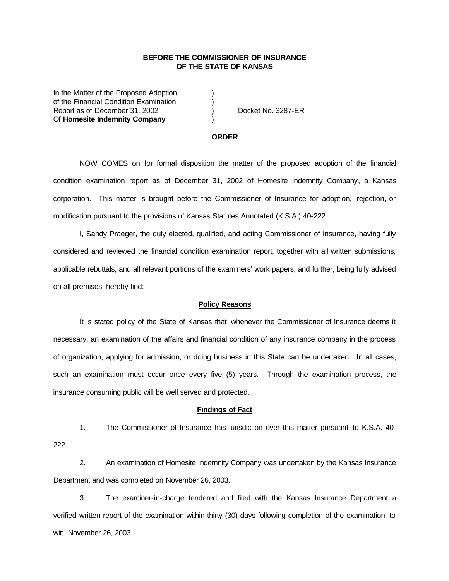## **BEFORE THE COMMISSIONER OF INSURANCE OF THE STATE OF KANSAS**

In the Matter of the Proposed Adoption of the Financial Condition Examination ) Report as of December 31, 2002 (a) Docket No. 3287-ER Of **Homesite Indemnity Company** )

## **ORDER**

NOW COMES on for formal disposition the matter of the proposed adoption of the financial condition examination report as of December 31, 2002 of Homesite Indemnity Company, a Kansas corporation. This matter is brought before the Commissioner of Insurance for adoption, rejection, or modification pursuant to the provisions of Kansas Statutes Annotated (K.S.A.) 40-222.

I, Sandy Praeger, the duly elected, qualified, and acting Commissioner of Insurance, having fully considered and reviewed the financial condition examination report, together with all written submissions, applicable rebuttals, and all relevant portions of the examiners' work papers, and further, being fully advised on all premises, hereby find:

## **Policy Reasons**

It is stated policy of the State of Kansas that whenever the Commissioner of Insurance deems it necessary, an examination of the affairs and financial condition of any insurance company in the process of organization, applying for admission, or doing business in this State can be undertaken. In all cases, such an examination must occur once every five (5) years. Through the examination process, the insurance consuming public will be well served and protected.

#### **Findings of Fact**

1. The Commissioner of Insurance has jurisdiction over this matter pursuant to K.S.A. 40- 222.

2. An examination of Homesite Indemnity Company was undertaken by the Kansas Insurance Department and was completed on November 26, 2003.

3. The examiner-in-charge tendered and filed with the Kansas Insurance Department a verified written report of the examination within thirty (30) days following completion of the examination, to wit; November 26, 2003.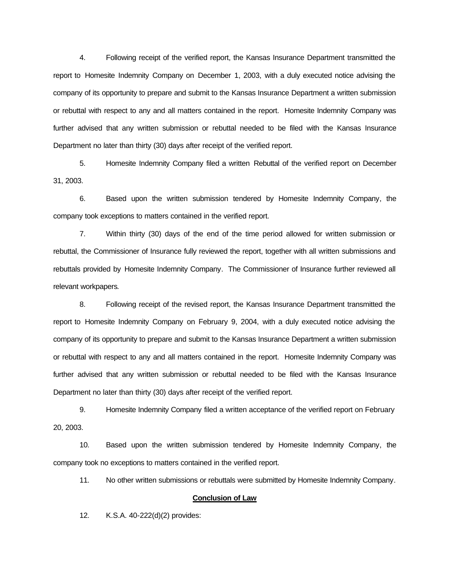4. Following receipt of the verified report, the Kansas Insurance Department transmitted the report to Homesite Indemnity Company on December 1, 2003, with a duly executed notice advising the company of its opportunity to prepare and submit to the Kansas Insurance Department a written submission or rebuttal with respect to any and all matters contained in the report. Homesite Indemnity Company was further advised that any written submission or rebuttal needed to be filed with the Kansas Insurance Department no later than thirty (30) days after receipt of the verified report.

5. Homesite Indemnity Company filed a written Rebuttal of the verified report on December 31, 2003.

6. Based upon the written submission tendered by Homesite Indemnity Company, the company took exceptions to matters contained in the verified report.

7. Within thirty (30) days of the end of the time period allowed for written submission or rebuttal, the Commissioner of Insurance fully reviewed the report, together with all written submissions and rebuttals provided by Homesite Indemnity Company. The Commissioner of Insurance further reviewed all relevant workpapers.

8. Following receipt of the revised report, the Kansas Insurance Department transmitted the report to Homesite Indemnity Company on February 9, 2004, with a duly executed notice advising the company of its opportunity to prepare and submit to the Kansas Insurance Department a written submission or rebuttal with respect to any and all matters contained in the report. Homesite Indemnity Company was further advised that any written submission or rebuttal needed to be filed with the Kansas Insurance Department no later than thirty (30) days after receipt of the verified report.

9. Homesite Indemnity Company filed a written acceptance of the verified report on February 20, 2003.

10. Based upon the written submission tendered by Homesite Indemnity Company, the company took no exceptions to matters contained in the verified report.

11. No other written submissions or rebuttals were submitted by Homesite Indemnity Company.

## **Conclusion of Law**

12. K.S.A. 40-222(d)(2) provides: